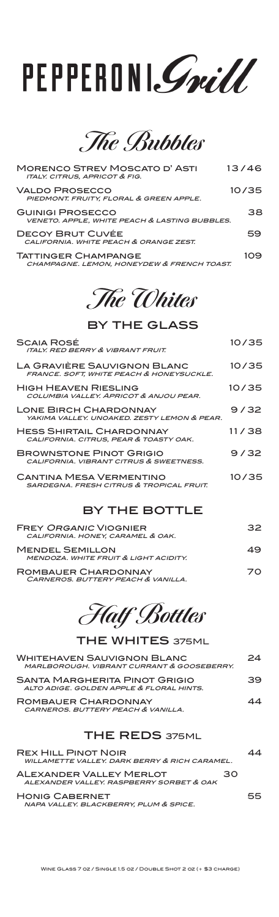# PEPPERONI. Smill

**The Bubbles**

| <b>MORENCO STREV MOSCATO D'ASTI</b><br><b>ITALY. CITRUS, APRICOT &amp; FIG.</b>     | 13/46 |
|-------------------------------------------------------------------------------------|-------|
| VALDO PROSECCO<br>PIEDMONT. FRUITY, FLORAL & GREEN APPLE.                           | 10/35 |
| <b>GUINIGI PROSECCO</b><br><b>VENETO, APPLE. WHITE PEACH &amp; LASTING BUBBLES.</b> | 38    |
| DECOY BRUT CUVÉE<br>CALIFORNIA. WHITE PEACH & ORANGE ZEST.                          | 59    |
| <b>TATTINGER CHAMPANGE</b><br>CHAMPAGNE. LEMON, HONEYDEW & FRENCH TOAST.            | 109   |

#### **The Whites**

#### by the glass

| <b>SCAIA ROSÉ</b><br><b>ITALY. RED BERRY &amp; VIBRANT FRUIT.</b>                     | 10/35 |
|---------------------------------------------------------------------------------------|-------|
| LA GRAVIÈRE SAUVIGNON BLANC<br>FRANCE. SOFT, WHITE PEACH & HONEYSUCKLE.               | 10/35 |
| <b>HIGH HEAVEN RIESLING</b><br>COLUMBIA VALLEY, APRICOT & ANJOU PEAR.                 | 10/35 |
| <b>LONE BIRCH CHARDONNAY</b><br>YAKIMA VALLEY, UNOAKED, ZESTY LEMON & PEAR.           | 9/32  |
| <b>HESS SHIRTAIL CHARDONNAY</b><br>CALIFORNIA. CITRUS, PEAR & TOASTY OAK.             | 11/38 |
| <b>BROWNSTONE PINOT GRIGIO</b><br>CALIFORNIA, VIBRANT CITRUS & SWEETNESS.             | 9/32  |
| <b>CANTINA MESA VERMENTINO</b><br><b>SARDEGNA, FRESH CITRUS &amp; TROPICAL FRUIT.</b> | 10/35 |
|                                                                                       |       |

#### by the bottle

| <b>FREY ORGANIC VIOGNIER</b><br>CALIFORNIA. HONEY, CARAMEL & OAK. | 32 |
|-------------------------------------------------------------------|----|
| <b>MENDEL SEMILLON</b><br>MENDOZA. WHITE FRUIT & LIGHT ACIDITY.   | 49 |
| ROMBAUER CHARDONNAY<br>CARNEROS. BUTTERY PEACH & VANILLA.         | 70 |

**Half Bottles**

| <b>THE WHITES 375ML</b>                                                         |    |
|---------------------------------------------------------------------------------|----|
| <b>WHITEHAVEN SAUVIGNON BLANC</b><br>MARLBOROUGH, VIBRANT CURRANT & GOOSEBERRY. | 24 |
| SANTA MARGHERITA PINOT GRIGIO<br>ALTO ADIGE, GOLDEN APPLE & FLORAL HINTS.       | 39 |
| ROMBAUER CHARDONNAY<br>CARNEROS BUTTERY PEACH & VANILLA                         | 44 |
| <b>THE REDS 375ML</b>                                                           |    |

| <b>REX HILL PINOT NOIR</b><br>WILLAMETTE VALLEY, DARK BERRY & RICH CARAMEL. |    |    |
|-----------------------------------------------------------------------------|----|----|
| <b>ALEXANDER VALLEY MERLOT</b><br>ALEXANDER VALLEY, RASPBERRY SORBET & OAK  | 30 |    |
| <b>HONIG CABERNET</b><br>NAPA VALLEY. BLACKBERRY, PLUM & SPICE.             |    | 55 |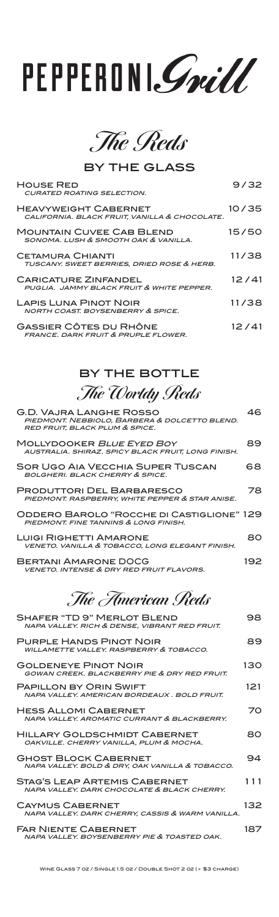**The Reds**

by the glass

| <b>HOUSE RED</b><br><b>CURATED ROATING SELECTION.</b>                           | 9/32  |
|---------------------------------------------------------------------------------|-------|
| <b>HEAVYWEIGHT CABERNET</b><br>CALIFORNIA. BLACK FRUIT, VANILLA & CHOCOLATE.    | 10/35 |
| <b>MOUNTAIN CUVEE CAB BLEND</b><br>SONOMA, LUSH & SMOOTH OAK & VANILLA.         | 15/50 |
| <b>CETAMURA CHIANTI</b><br>TUSCANY. SWEET BERRIES, DRIED ROSE & HERB.           | 11/38 |
| <b>CARICATURE ZINFANDEL</b><br>PUGLIA. JAMMY BLACK FRUIT & WHITE PEPPER.        | 12/41 |
| <b>LAPIS LUNA PINOT NOIR</b><br><b>NORTH COAST, BOYSENBERRY &amp; SPICE.</b>    | 11/38 |
| <b>GASSIER CÔTES DU RHÔNE</b><br><b>FRANCE. DARK FRUIT &amp; PRUPLE FLOWER.</b> | 12/41 |

#### by the bottle **The Worldy Reds**

| G.D. VAJRA LANGHE ROSSO<br>RED FRUIT, BLACK PLUM & SPICE.                   | PIEDMONT. NEBBIOLO, BARBERA & DOLCETTO BLEND.      | 46. |
|-----------------------------------------------------------------------------|----------------------------------------------------|-----|
| <b>MOLLYDOOKER BLUE EYED BOY</b>                                            | AUSTRALIA. SHIRAZ. SPICY BLACK FRUIT, LONG FINISH. | 89. |
| <b>BOLGHERI. BLACK CHERRY &amp; SPICE.</b>                                  | <b>SOR UGO AIA VECCHIA SUPER TUSCAN</b>            | 68  |
| <b>PRODUTTORI DEL BARBARESCO</b>                                            | PIEDMONT. RASPBERRY, WHITE PEPPER & STAR ANISE.    | 78  |
| PIEDMONT, FINE TANNINS & LONG FINISH.                                       | ODDERO BAROLO "ROCCHE DI CASTIGLIONE" 129          |     |
| <b>LUIGI RIGHETTI AMARONE</b>                                               | VENETO. VANILLA & TOBACCO, LONG ELEGANT FINISH.    | 80  |
| BERTANI AMARONE DOCG<br><b>VENETO. INTENSE &amp; DRY RED FRUIT FLAVORS.</b> |                                                    | 192 |

**The American Reds** 

| SHAFER "TD 9" MERLOT BLEND<br>NAPA VALLEY. RICH & DENSE, VIBRANT RED FRUIT.          | 98  |
|--------------------------------------------------------------------------------------|-----|
| <b>PURPLE HANDS PINOT NOIR</b><br><b>WILLAMETTE VALLEY, RASPBERRY &amp; TOBACCO.</b> | 89  |
| <b>GOLDENEYE PINOT NOIR</b><br>GOWAN CREEK, BLACKBERRY PIE & DRY RED FRUIT.          | 130 |
| <b>PAPILLON BY ORIN SWIFT</b><br>NAPA VALLEY, AMERICAN BORDEAUX, BOLD FRUIT.         | 121 |
| <b>HESS ALLOMI CABERNET</b><br>NAPA VALLEY, AROMATIC CURRANT & BLACKBERRY.           | 70  |
| <b>HILLARY GOLDSCHMIDT CABERNET</b><br>OAKVILLE. CHERRY VANILLA, PLUM & MOCHA.       | ദറ  |
| <b>GHOST BLOCK CABERNET</b><br>NAPA VALLEY, BOLD & DRY, OAK VANILLA & TOBACCO.       | 94  |
| <b>STAG'S LEAP ARTEMIS CABERNET</b><br>NAPA VALLEY, DARK CHOCOLATE & BLACK CHERRY.   | 111 |
| <b>CAYMUS CABERNET</b><br>NAPA VALLEY, DARK CHERRY, CASSIS & WARM VANILLA.           | 132 |
| <b>FAR NIENTE CABERNET</b><br>NAPA VALLEY, BOYSENBERRY PIE & TOASTED OAK.            | 187 |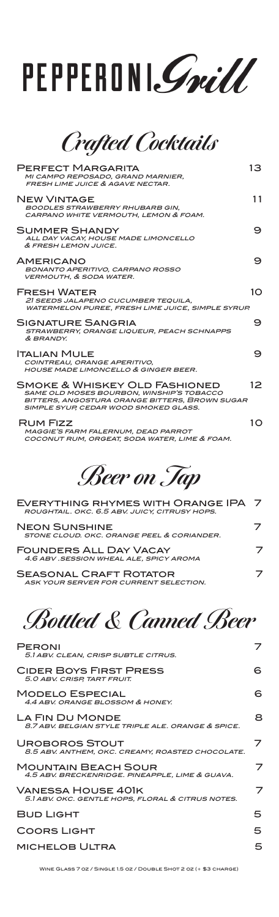**Crafted Cocktails**

| <b>PERFECT MARGARITA</b><br>MI CAMPO REPOSADO, GRAND MARNIER,<br><b>FRESH LIME JUICE &amp; AGAVE NECTAR.</b>                                                                 | 13              |
|------------------------------------------------------------------------------------------------------------------------------------------------------------------------------|-----------------|
| <b>NEW VINTAGE</b><br><b>BOODLES STRAWBERRY RHUBARB GIN.</b><br>CARPANO WHITE VERMOUTH. LEMON & FOAM.                                                                        | 11              |
| <b>SUMMER SHANDY</b><br>ALL DAY VACAY, HOUSE MADE LIMONCELLO<br>& FRESH LEMON JUICE.                                                                                         | 9               |
| <b>AMERICANO</b><br><b>BONANTO APERITIVO, CARPANO ROSSO</b><br><b>VERMOUTH, &amp; SODA WATER.</b>                                                                            | 9               |
| <b>FRESH WATER</b><br>21 SEEDS JALAPENO CUCUMBER TEQUILA.<br><b>WATERMELON PUREE. FRESH LIME JUICE. SIMPLE SYRUP.</b>                                                        | 10              |
| SIGNATURE SANGRIA<br>STRAWBERRY, ORANGE LIQUEUR, PEACH SCHNAPPS<br>& BRANDY.                                                                                                 | 9               |
| <b>ITALIAN MULE</b><br>COINTREAU, ORANGE APERITIVO,<br><b>HOUSE MADE LIMONCELLO &amp; GINGER BEER.</b>                                                                       | 9               |
| SMOKE & WHISKEY OLD FASHIONED<br><b>SAME OLD MOSES BOURBON, WINSHIP'S TOBACCO</b><br>BITTERS, ANGOSTURA ORANGE BITTERS, BROWN SUGAR<br>SIMPLE SYUP, CEDAR WOOD SMOKED GLASS. | 12 <sub>1</sub> |
| RUM FIZZ<br>MAGGIE'S FARM FALERNUM, DEAD PARROT<br>COCONUT RUM, ORGEAT, SODA WATER, LIME & FOAM.                                                                             | $1\Omega$       |

**Beer on Tap**

| EVERYTHING RHYMES WITH ORANGE IPA 7<br>ROUGHTAIL. OKC. 6.5 ABV. JUICY, CITRUSY HOPS. |  |
|--------------------------------------------------------------------------------------|--|
| <b>NEON SUNSHINE</b><br>STONE CLOUD, OKC. ORANGE PEEL & CORIANDER.                   |  |
| <b>FOUNDERS ALL DAY VACAY</b><br>4.6 ABV .SESSION WHEAL ALE, SPICY AROMA             |  |
| <b>SEASONAL CRAFT ROTATOR</b><br>ASK YOUR SERVER FOR CURRENT SELECTION.              |  |

**Bottled & Canned Beer**

| <b>PERONI</b><br>5.1 ABV. CLEAN. CRISP SUBTLE CITRUS.                         |    |
|-------------------------------------------------------------------------------|----|
| <b>CIDER BOYS FIRST PRESS</b><br>5.0 ABV. CRISP, TART FRUIT.                  | 6. |
| <b>MODELO ESPECIAL</b><br>4.4 ABV, ORANGE BLOSSOM & HONEY.                    | 6  |
| LA FIN DU MONDE<br>8.7 ABV, BELGIAN STYLE TRIPLE ALE, ORANGE & SPICE.         | 8  |
| UROBOROS STOUT<br>8.5 ABV. ANTHEM, OKC. CREAMY, ROASTED CHOCOLATE.            | 7  |
| <b>MOUNTAIN BEACH SOUR</b><br>4.5 ABV. BRECKENRIDGE. PINEAPPLE, LIME & GUAVA. | 7  |
| VANESSA HOUSE 401K<br>5.1 ABV. OKC. GENTLE HOPS, FLORAL & CITRUS NOTES.       | 7  |
| <b>BUD LIGHT</b>                                                              | 5  |
| <b>COORS LIGHT</b>                                                            | 5  |
| <b>MICHELOB ULTRA</b>                                                         | 5  |

Wine Glass 7 oz / Single 1.5 oz / Double Shot 2 oz (+ \$3 charge)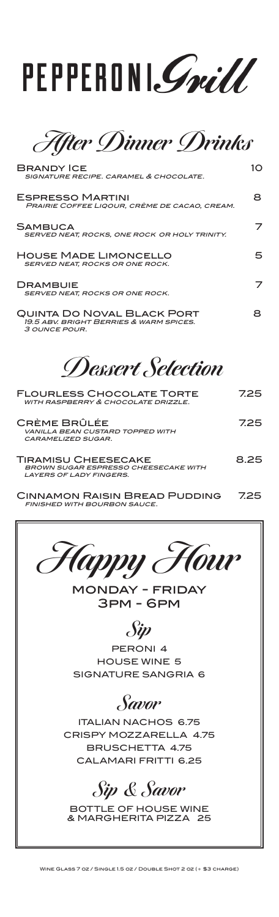

**After Dinner Drinks**

| <b>BRANDY ICE</b><br>SIGNATURE RECIPE, CARAMEL & CHOCOLATE.                                          | 10   |
|------------------------------------------------------------------------------------------------------|------|
| <b>ESPRESSO MARTINI</b><br>PRAIRIE COFFEE LIQOUR, CRÈME DE CACAO, CREAM.                             | 8    |
| <b>SAMBUCA</b><br>SERVED NEAT, ROCKS, ONE ROCK OR HOLY TRINITY.                                      |      |
| <b>HOUSE MADE LIMONCELLO</b><br>SERVED NEAT, ROCKS OR ONE ROCK.                                      | 5    |
| <b>DRAMBUIE</b><br>SERVED NEAT, ROCKS OR ONE ROCK.                                                   |      |
| <b>QUINTA DO NOVAL BLACK PORT</b><br>19.5 ABV, BRIGHT BERRIES & WARM SPICES.<br>3 OUNCE POUR.        | 8.   |
| <i>Dessert Selection</i>                                                                             |      |
| <b>FLOURLESS CHOCOLATE TORTE</b><br>WITH RASPBERRY & CHOCOLATE DRIZZLE.                              | 725  |
| CRÈME BRÛLÉE<br>VANILLA BEAN CUSTARD TOPPED WITH<br><b>CARAMELIZED SUGAR.</b>                        | 725  |
| TIRAMISU CHEESECAKE<br><b>BROWN SUGAR ESPRESSO CHEESECAKE WITH</b><br><b>LAYERS OF LADY FINGERS.</b> | 8.25 |
| ---                                                                                                  |      |

Cinnamon Raisin Bread Pudding 7.25 finished with bourbon sauce.



monday - friday 3pm - 6pm

**Sip**

PERONI 4 HOUSE WINE 5 SIGNATURE SANGRIA 6

**Savor**

ITALIAN NACHOS 6.75 CRISPY MOZZARELLA 4.75 BRUSCHETTA 4.75 CALAMARI FRITTI 6.25

### **Sip & Savor**

BOTTLE OF HOUSE WINE & MARGHERITA PIZZA 25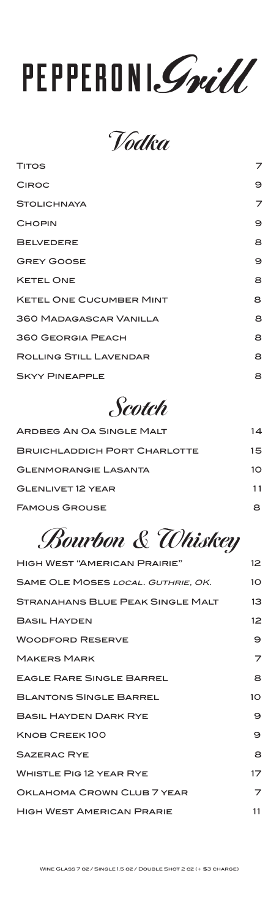**Vodka** 

| <b>TITOS</b>                   | 7 |
|--------------------------------|---|
| <b>CIROC</b>                   | 9 |
| <b>STOLICHNAYA</b>             | 7 |
| <b>CHOPIN</b>                  | 9 |
| <b>BELVEDERE</b>               | 8 |
| <b>GREY GOOSE</b>              | 9 |
| <b>KETEL ONE</b>               | 8 |
| <b>KETEL ONE CUCUMBER MINT</b> | 8 |
| <b>360 MADAGASCAR VANILLA</b>  | 8 |
| <b>360 GEORGIA PEACH</b>       | 8 |
| <b>ROLLING STILL LAVENDAR</b>  | 8 |
| <b>SKYY PINEAPPLE</b>          | 8 |

#### **Scotch**

| ARDBEG AN OA SINGLE MALT            | 14 |
|-------------------------------------|----|
| <b>BRUICHLADDICH PORT CHARLOTTE</b> | 15 |
| <b>GLENMORANGIE LASANTA</b>         | 10 |
| <b>GLENLIVET 12 YEAR</b>            | 11 |
| <b>FAMOUS GROUSE</b>                |    |

### **Bourbon & Whiskey**

| <b>HIGH WEST "AMERICAN PRAIRIE"</b>     | 12 <sup>2</sup> |
|-----------------------------------------|-----------------|
| SAME OLE MOSES LOCAL. GUTHRIE, OK.      | 10 <sup>°</sup> |
| <b>STRANAHANS BLUE PEAK SINGLE MALT</b> | 13              |
| <b>BASIL HAYDEN</b>                     | 12 <sup>2</sup> |
| <b>WOODFORD RESERVE</b>                 | 9               |
| <b>MAKERS MARK</b>                      | 7               |
| <b>EAGLE RARE SINGLE BARREL</b>         | 8               |
| <b>BLANTONS SINGLE BARREL</b>           | 10 <sup>°</sup> |
| <b>BASIL HAYDEN DARK RYE</b>            | 9               |
| KNOB CREEK100                           | 9               |
| <b>SAZERAC RYE</b>                      | 8               |
| <b>WHISTLE PIG 12 YEAR RYE</b>          | 17              |
| OKLAHOMA CROWN CLUB 7 YEAR              | 7               |
| <b>HIGH WEST AMERICAN PRARIE</b>        | 11              |